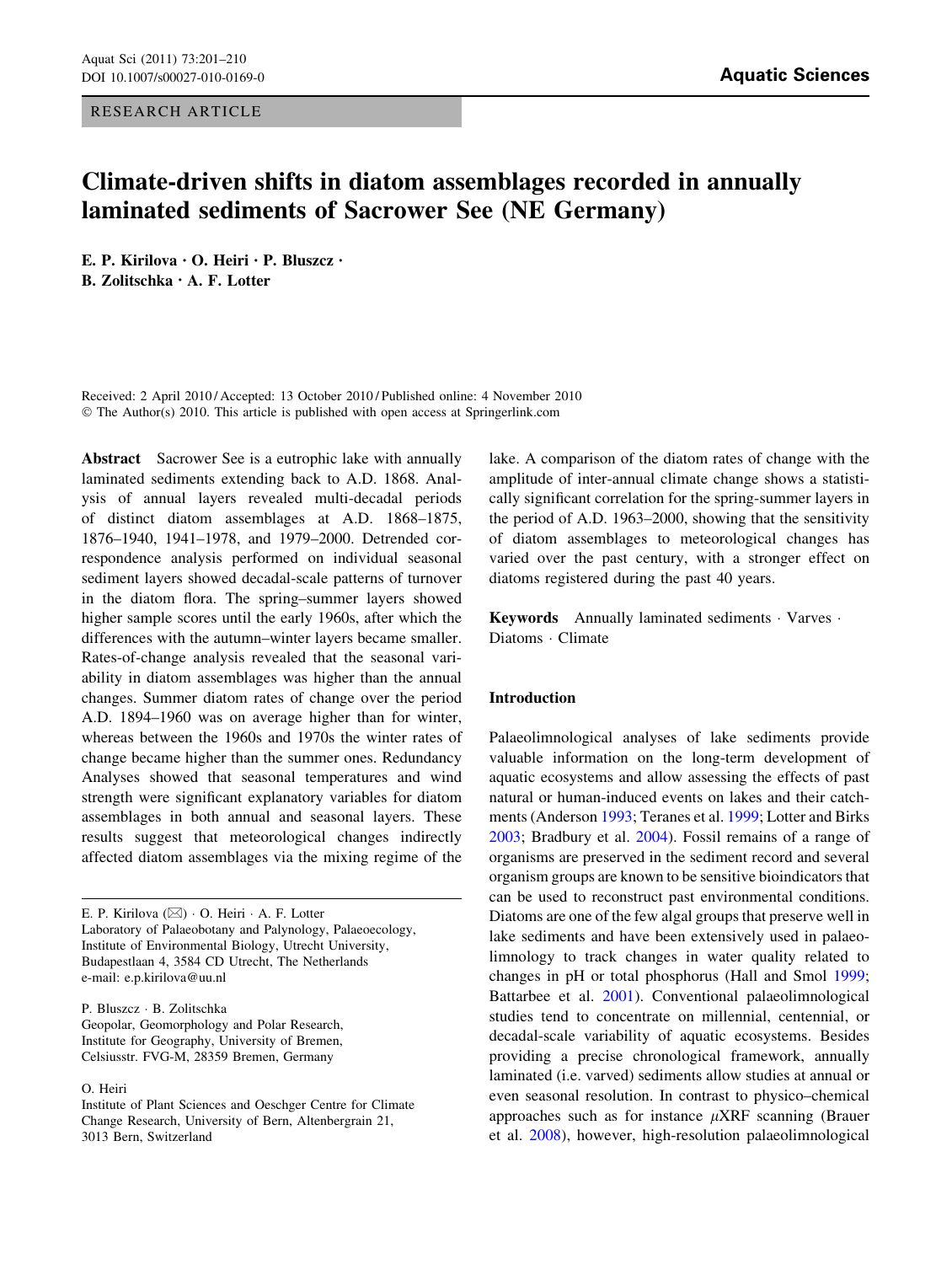RESEARCH ARTICLE

# Climate-driven shifts in diatom assemblages recorded in annually laminated sediments of Sacrower See (NE Germany)

E. P. Kirilova • O. Heiri • P. Bluszcz • B. Zolitschka • A. F. Lotter

Received: 2 April 2010 / Accepted: 13 October 2010 / Published online: 4 November 2010 © The Author(s) 2010. This article is published with open access at Springerlink.com

Abstract Sacrower See is a eutrophic lake with annually laminated sediments extending back to A.D. 1868. Analysis of annual layers revealed multi-decadal periods of distinct diatom assemblages at A.D. 1868–1875, 1876–1940, 1941–1978, and 1979–2000. Detrended correspondence analysis performed on individual seasonal sediment layers showed decadal-scale patterns of turnover in the diatom flora. The spring–summer layers showed higher sample scores until the early 1960s, after which the differences with the autumn–winter layers became smaller. Rates-of-change analysis revealed that the seasonal variability in diatom assemblages was higher than the annual changes. Summer diatom rates of change over the period A.D. 1894–1960 was on average higher than for winter, whereas between the 1960s and 1970s the winter rates of change became higher than the summer ones. Redundancy Analyses showed that seasonal temperatures and wind strength were significant explanatory variables for diatom assemblages in both annual and seasonal layers. These results suggest that meteorological changes indirectly affected diatom assemblages via the mixing regime of the

E. P. Kirilova ( $\boxtimes$ ) · O. Heiri · A. F. Lotter Laboratory of Palaeobotany and Palynology, Palaeoecology, Institute of Environmental Biology, Utrecht University, Budapestlaan 4, 3584 CD Utrecht, The Netherlands e-mail: e.p.kirilova@uu.nl

P. Bluszcz - B. Zolitschka Geopolar, Geomorphology and Polar Research, Institute for Geography, University of Bremen, Celsiusstr. FVG-M, 28359 Bremen, Germany

#### O. Heiri

lake. A comparison of the diatom rates of change with the amplitude of inter-annual climate change shows a statistically significant correlation for the spring-summer layers in the period of A.D. 1963–2000, showing that the sensitivity of diatom assemblages to meteorological changes has varied over the past century, with a stronger effect on diatoms registered during the past 40 years.

Keywords Annually laminated sediments · Varves · Diatoms · Climate

## Introduction

Palaeolimnological analyses of lake sediments provide valuable information on the long-term development of aquatic ecosystems and allow assessing the effects of past natural or human-induced events on lakes and their catchments (Anderson [1993;](#page-8-0) Teranes et al. [1999](#page-9-0); Lotter and Birks [2003](#page-9-0); Bradbury et al. [2004\)](#page-8-0). Fossil remains of a range of organisms are preserved in the sediment record and several organism groups are known to be sensitive bioindicators that can be used to reconstruct past environmental conditions. Diatoms are one of the few algal groups that preserve well in lake sediments and have been extensively used in palaeolimnology to track changes in water quality related to changes in pH or total phosphorus (Hall and Smol [1999](#page-8-0); Battarbee et al. [2001](#page-8-0)). Conventional palaeolimnological studies tend to concentrate on millennial, centennial, or decadal-scale variability of aquatic ecosystems. Besides providing a precise chronological framework, annually laminated (i.e. varved) sediments allow studies at annual or even seasonal resolution. In contrast to physico–chemical approaches such as for instance  $\mu$ XRF scanning (Brauer et al. [2008](#page-8-0)), however, high-resolution palaeolimnological

Institute of Plant Sciences and Oeschger Centre for Climate Change Research, University of Bern, Altenbergrain 21, 3013 Bern, Switzerland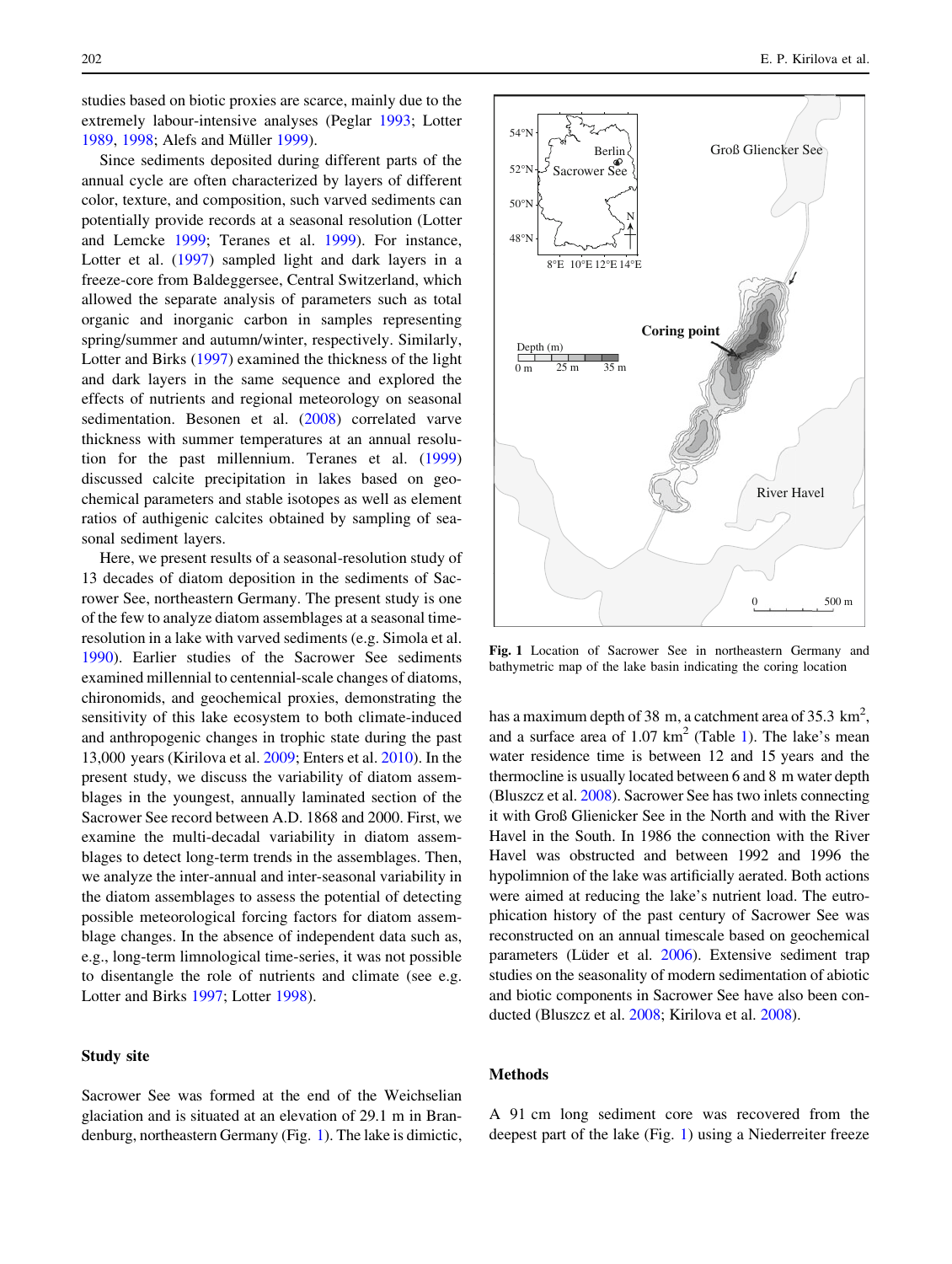studies based on biotic proxies are scarce, mainly due to the extremely labour-intensive analyses (Peglar [1993](#page-9-0); Lotter [1989,](#page-8-0) [1998](#page-8-0); Alefs and Müller [1999\)](#page-8-0).

Since sediments deposited during different parts of the annual cycle are often characterized by layers of different color, texture, and composition, such varved sediments can potentially provide records at a seasonal resolution (Lotter and Lemcke [1999;](#page-9-0) Teranes et al. [1999\)](#page-9-0). For instance, Lotter et al. ([1997\)](#page-9-0) sampled light and dark layers in a freeze-core from Baldeggersee, Central Switzerland, which allowed the separate analysis of parameters such as total organic and inorganic carbon in samples representing spring/summer and autumn/winter, respectively. Similarly, Lotter and Birks ([1997\)](#page-8-0) examined the thickness of the light and dark layers in the same sequence and explored the effects of nutrients and regional meteorology on seasonal sedimentation. Besonen et al. [\(2008](#page-8-0)) correlated varve thickness with summer temperatures at an annual resolution for the past millennium. Teranes et al. ([1999\)](#page-9-0) discussed calcite precipitation in lakes based on geochemical parameters and stable isotopes as well as element ratios of authigenic calcites obtained by sampling of seasonal sediment layers.

Here, we present results of a seasonal-resolution study of 13 decades of diatom deposition in the sediments of Sacrower See, northeastern Germany. The present study is one of the few to analyze diatom assemblages at a seasonal timeresolution in a lake with varved sediments (e.g. Simola et al. [1990\)](#page-9-0). Earlier studies of the Sacrower See sediments examined millennial to centennial-scale changes of diatoms, chironomids, and geochemical proxies, demonstrating the sensitivity of this lake ecosystem to both climate-induced and anthropogenic changes in trophic state during the past 13,000 years (Kirilova et al. [2009;](#page-8-0) Enters et al. [2010\)](#page-8-0). In the present study, we discuss the variability of diatom assemblages in the youngest, annually laminated section of the Sacrower See record between A.D. 1868 and 2000. First, we examine the multi-decadal variability in diatom assemblages to detect long-term trends in the assemblages. Then, we analyze the inter-annual and inter-seasonal variability in the diatom assemblages to assess the potential of detecting possible meteorological forcing factors for diatom assemblage changes. In the absence of independent data such as, e.g., long-term limnological time-series, it was not possible to disentangle the role of nutrients and climate (see e.g. Lotter and Birks [1997;](#page-8-0) Lotter [1998](#page-8-0)).

## Study site

Sacrower See was formed at the end of the Weichselian glaciation and is situated at an elevation of 29.1 m in Brandenburg, northeastern Germany (Fig. 1). The lake is dimictic,



Fig. 1 Location of Sacrower See in northeastern Germany and bathymetric map of the lake basin indicating the coring location

has a maximum depth of 38 m, a catchment area of 35.3  $\text{km}^2$ , and a surface area of  $1.07 \text{ km}^2$  $1.07 \text{ km}^2$  (Table 1). The lake's mean water residence time is between 12 and 15 years and the thermocline is usually located between 6 and 8 m water depth (Bluszcz et al. [2008\)](#page-8-0). Sacrower See has two inlets connecting it with Groß Glienicker See in the North and with the River Havel in the South. In 1986 the connection with the River Havel was obstructed and between 1992 and 1996 the hypolimnion of the lake was artificially aerated. Both actions were aimed at reducing the lake's nutrient load. The eutrophication history of the past century of Sacrower See was reconstructed on an annual timescale based on geochemical parameters (Lüder et al. [2006](#page-9-0)). Extensive sediment trap studies on the seasonality of modern sedimentation of abiotic and biotic components in Sacrower See have also been conducted (Bluszcz et al. [2008](#page-8-0); Kirilova et al. [2008\)](#page-8-0).

### Methods

A 91 cm long sediment core was recovered from the deepest part of the lake (Fig. 1) using a Niederreiter freeze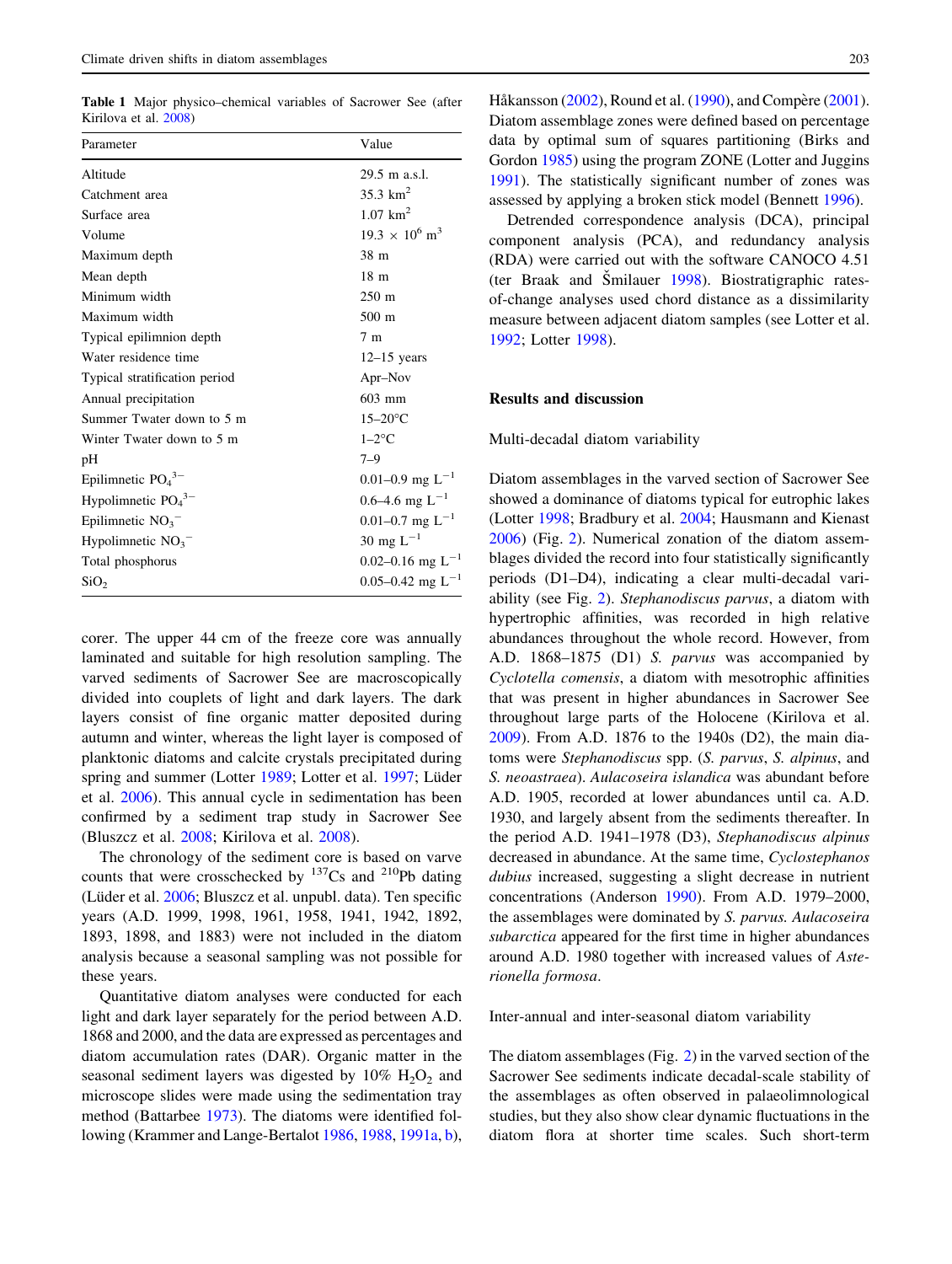<span id="page-2-0"></span>Table 1 Major physico–chemical variables of Sacrower See (after Kirilova et al. [2008](#page-8-0))

| Parameter                        | Value                             |
|----------------------------------|-----------------------------------|
| Altitude                         | 29.5 m a.s.l.                     |
| Catchment area                   | 35.3 $km^2$                       |
| Surface area                     | $1.07$ km <sup>2</sup>            |
| Volume                           | $19.3 \times 10^6$ m <sup>3</sup> |
| Maximum depth                    | 38 m                              |
| Mean depth                       | 18 <sub>m</sub>                   |
| Minimum width                    | $250 \text{ m}$                   |
| Maximum width                    | $500 \text{ m}$                   |
| Typical epilimnion depth         | 7 <sub>m</sub>                    |
| Water residence time             | $12-15$ years                     |
| Typical stratification period    | Apr-Nov                           |
| Annual precipitation             | $603$ mm                          |
| Summer Twater down to 5 m        | $15-20$ °C                        |
| Winter Twater down to 5 m        | $1-2$ °C                          |
| pН                               | $7 - 9$                           |
| Epilimnetic $PO43–$              | 0.01–0.9 mg $L^{-1}$              |
| Hypolimnetic $PO43–$             | $0.6-4.6$ mg L <sup>-1</sup>      |
| Epilimnetic $NO3$ <sup>-</sup>   | 0.01–0.7 mg $L^{-1}$              |
| Hypolimnetic $NO_3$ <sup>-</sup> | 30 mg $L^{-1}$                    |
| Total phosphorus                 | 0.02–0.16 mg $L^{-1}$             |
| SiO <sub>2</sub>                 | 0.05–0.42 mg $L^{-1}$             |

corer. The upper 44 cm of the freeze core was annually laminated and suitable for high resolution sampling. The varved sediments of Sacrower See are macroscopically divided into couplets of light and dark layers. The dark layers consist of fine organic matter deposited during autumn and winter, whereas the light layer is composed of planktonic diatoms and calcite crystals precipitated during spring and summer (Lotter [1989;](#page-8-0) Lotter et al. [1997](#page-9-0); Lüder et al. [2006](#page-9-0)). This annual cycle in sedimentation has been confirmed by a sediment trap study in Sacrower See (Bluszcz et al. [2008](#page-8-0); Kirilova et al. [2008\)](#page-8-0).

The chronology of the sediment core is based on varve counts that were crosschecked by  $^{137}Cs$  and  $^{210}Pb$  dating (Lüder et al. [2006](#page-9-0); Bluszcz et al. unpubl. data). Ten specific years (A.D. 1999, 1998, 1961, 1958, 1941, 1942, 1892, 1893, 1898, and 1883) were not included in the diatom analysis because a seasonal sampling was not possible for these years.

Quantitative diatom analyses were conducted for each light and dark layer separately for the period between A.D. 1868 and 2000, and the data are expressed as percentages and diatom accumulation rates (DAR). Organic matter in the seasonal sediment layers was digested by  $10\%$   $H_2O_2$  and microscope slides were made using the sedimentation tray method (Battarbee [1973\)](#page-8-0). The diatoms were identified following (Krammer and Lange-Bertalot [1986](#page-8-0), [1988,](#page-8-0) [1991a](#page-8-0), [b](#page-8-0)), Håkansson ([2002](#page-8-0)), Round et al. ([1990\)](#page-9-0), and Compère ([2001](#page-8-0)). Diatom assemblage zones were defined based on percentage data by optimal sum of squares partitioning (Birks and Gordon [1985\)](#page-8-0) using the program ZONE (Lotter and Juggins [1991\)](#page-9-0). The statistically significant number of zones was assessed by applying a broken stick model (Bennett [1996\)](#page-8-0).

Detrended correspondence analysis (DCA), principal component analysis (PCA), and redundancy analysis (RDA) were carried out with the software CANOCO 4.51 (ter Braak and Šmilauer  $1998$ ). Biostratigraphic ratesof-change analyses used chord distance as a dissimilarity measure between adjacent diatom samples (see Lotter et al. [1992](#page-9-0); Lotter [1998](#page-8-0)).

## Results and discussion

#### Multi-decadal diatom variability

Diatom assemblages in the varved section of Sacrower See showed a dominance of diatoms typical for eutrophic lakes (Lotter [1998;](#page-8-0) Bradbury et al. [2004](#page-8-0); Hausmann and Kienast [2006](#page-8-0)) (Fig. [2\)](#page-3-0). Numerical zonation of the diatom assemblages divided the record into four statistically significantly periods (D1–D4), indicating a clear multi-decadal variability (see Fig. [2\)](#page-3-0). Stephanodiscus parvus, a diatom with hypertrophic affinities, was recorded in high relative abundances throughout the whole record. However, from A.D. 1868–1875 (D1) S. parvus was accompanied by Cyclotella comensis, a diatom with mesotrophic affinities that was present in higher abundances in Sacrower See throughout large parts of the Holocene (Kirilova et al. [2009](#page-8-0)). From A.D. 1876 to the 1940s (D2), the main diatoms were Stephanodiscus spp. (S. parvus, S. alpinus, and S. neoastraea). Aulacoseira islandica was abundant before A.D. 1905, recorded at lower abundances until ca. A.D. 1930, and largely absent from the sediments thereafter. In the period A.D. 1941–1978 (D3), Stephanodiscus alpinus decreased in abundance. At the same time, Cyclostephanos dubius increased, suggesting a slight decrease in nutrient concentrations (Anderson [1990](#page-8-0)). From A.D. 1979–2000, the assemblages were dominated by S. parvus. Aulacoseira subarctica appeared for the first time in higher abundances around A.D. 1980 together with increased values of Asterionella formosa.

Inter-annual and inter-seasonal diatom variability

The diatom assemblages (Fig. [2\)](#page-3-0) in the varved section of the Sacrower See sediments indicate decadal-scale stability of the assemblages as often observed in palaeolimnological studies, but they also show clear dynamic fluctuations in the diatom flora at shorter time scales. Such short-term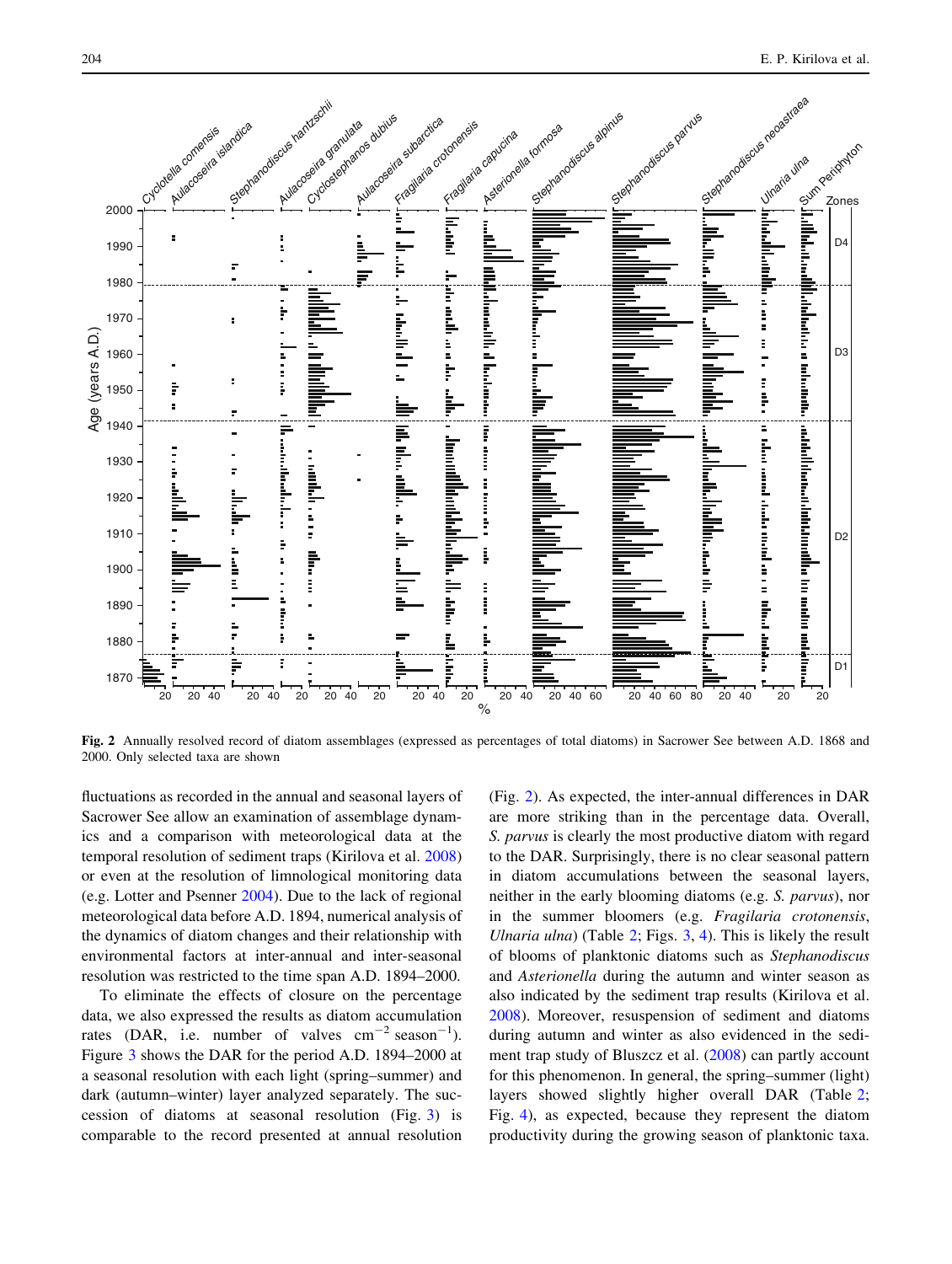<span id="page-3-0"></span>

Fig. 2 Annually resolved record of diatom assemblages (expressed as percentages of total diatoms) in Sacrower See between A.D. 1868 and 2000. Only selected taxa are shown

fluctuations as recorded in the annual and seasonal layers of Sacrower See allow an examination of assemblage dynamics and a comparison with meteorological data at the temporal resolution of sediment traps (Kirilova et al. [2008\)](#page-8-0) or even at the resolution of limnological monitoring data (e.g. Lotter and Psenner [2004](#page-9-0)). Due to the lack of regional meteorological data before A.D. 1894, numerical analysis of the dynamics of diatom changes and their relationship with environmental factors at inter-annual and inter-seasonal resolution was restricted to the time span A.D. 1894–2000.

To eliminate the effects of closure on the percentage data, we also expressed the results as diatom accumulation rates (DAR, i.e. number of valves  $\text{cm}^{-2} \text{ season}^{-1}$ ). Figure [3](#page-4-0) shows the DAR for the period A.D. 1894–2000 at a seasonal resolution with each light (spring–summer) and dark (autumn–winter) layer analyzed separately. The succession of diatoms at seasonal resolution (Fig. [3](#page-4-0)) is comparable to the record presented at annual resolution (Fig. 2). As expected, the inter-annual differences in DAR are more striking than in the percentage data. Overall, S. parvus is clearly the most productive diatom with regard to the DAR. Surprisingly, there is no clear seasonal pattern in diatom accumulations between the seasonal layers, neither in the early blooming diatoms (e.g. S. parvus), nor in the summer bloomers (e.g. Fragilaria crotonensis, Ulnaria ulna) (Table  $2$ ; Figs.  $3, 4$  $3, 4$ ). This is likely the result of blooms of planktonic diatoms such as Stephanodiscus and Asterionella during the autumn and winter season as also indicated by the sediment trap results (Kirilova et al. [2008](#page-8-0)). Moreover, resuspension of sediment and diatoms during autumn and winter as also evidenced in the sediment trap study of Bluszcz et al. ([2008\)](#page-8-0) can partly account for this phenomenon. In general, the spring–summer (light) layers showed slightly higher overall DAR (Table [2](#page-4-0); Fig. [4](#page-5-0)), as expected, because they represent the diatom productivity during the growing season of planktonic taxa.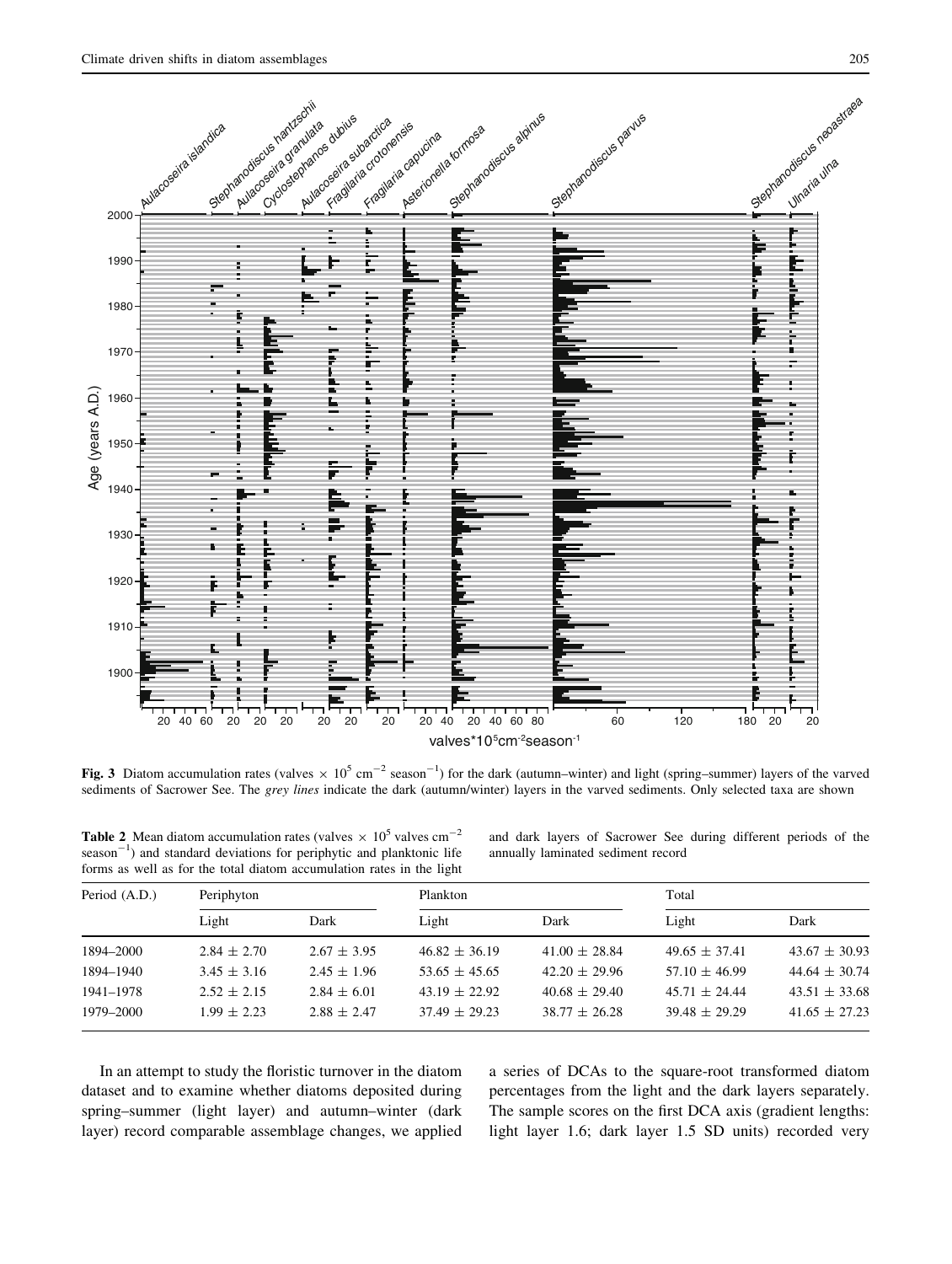<span id="page-4-0"></span>

Fig. 3 Diatom accumulation rates (valves  $\times 10^5$  cm<sup>-2</sup> season<sup>-1</sup>) for the dark (autumn–winter) and light (spring–summer) layers of the varved sediments of Sacrower See. The grey lines indicate the dark (autumn/winter) layers in the varved sediments. Only selected taxa are shown

**Table 2** Mean diatom accumulation rates (valves  $\times 10^5$  valves cm<sup>-2</sup>  $s$ eason<sup>-1</sup>) and standard deviations for periphytic and planktonic life forms as well as for the total diatom accumulation rates in the light

and dark layers of Sacrower See during different periods of the annually laminated sediment record

| Period (A.D.) | Periphyton      |                 | Plankton          |                   | Total             |                   |
|---------------|-----------------|-----------------|-------------------|-------------------|-------------------|-------------------|
|               | Light           | Dark            | Light             | Dark              | Light             | Dark              |
| 1894-2000     | $2.84 \pm 2.70$ | $2.67 \pm 3.95$ | $46.82 \pm 36.19$ | $41.00 \pm 28.84$ | $49.65 \pm 37.41$ | $43.67 \pm 30.93$ |
| 1894-1940     | $3.45 \pm 3.16$ | $2.45 \pm 1.96$ | $53.65 \pm 45.65$ | $42.20 \pm 29.96$ | $57.10 \pm 46.99$ | $44.64 \pm 30.74$ |
| 1941-1978     | $2.52 \pm 2.15$ | $2.84 \pm 6.01$ | $43.19 \pm 22.92$ | $40.68 \pm 29.40$ | $45.71 \pm 24.44$ | $43.51 \pm 33.68$ |
| 1979-2000     | $1.99 \pm 2.23$ | $2.88 \pm 2.47$ | $37.49 \pm 29.23$ | $38.77 + 26.28$   | $39.48 \pm 29.29$ | $41.65 \pm 27.23$ |

In an attempt to study the floristic turnover in the diatom dataset and to examine whether diatoms deposited during spring–summer (light layer) and autumn–winter (dark layer) record comparable assemblage changes, we applied a series of DCAs to the square-root transformed diatom percentages from the light and the dark layers separately. The sample scores on the first DCA axis (gradient lengths: light layer 1.6; dark layer 1.5 SD units) recorded very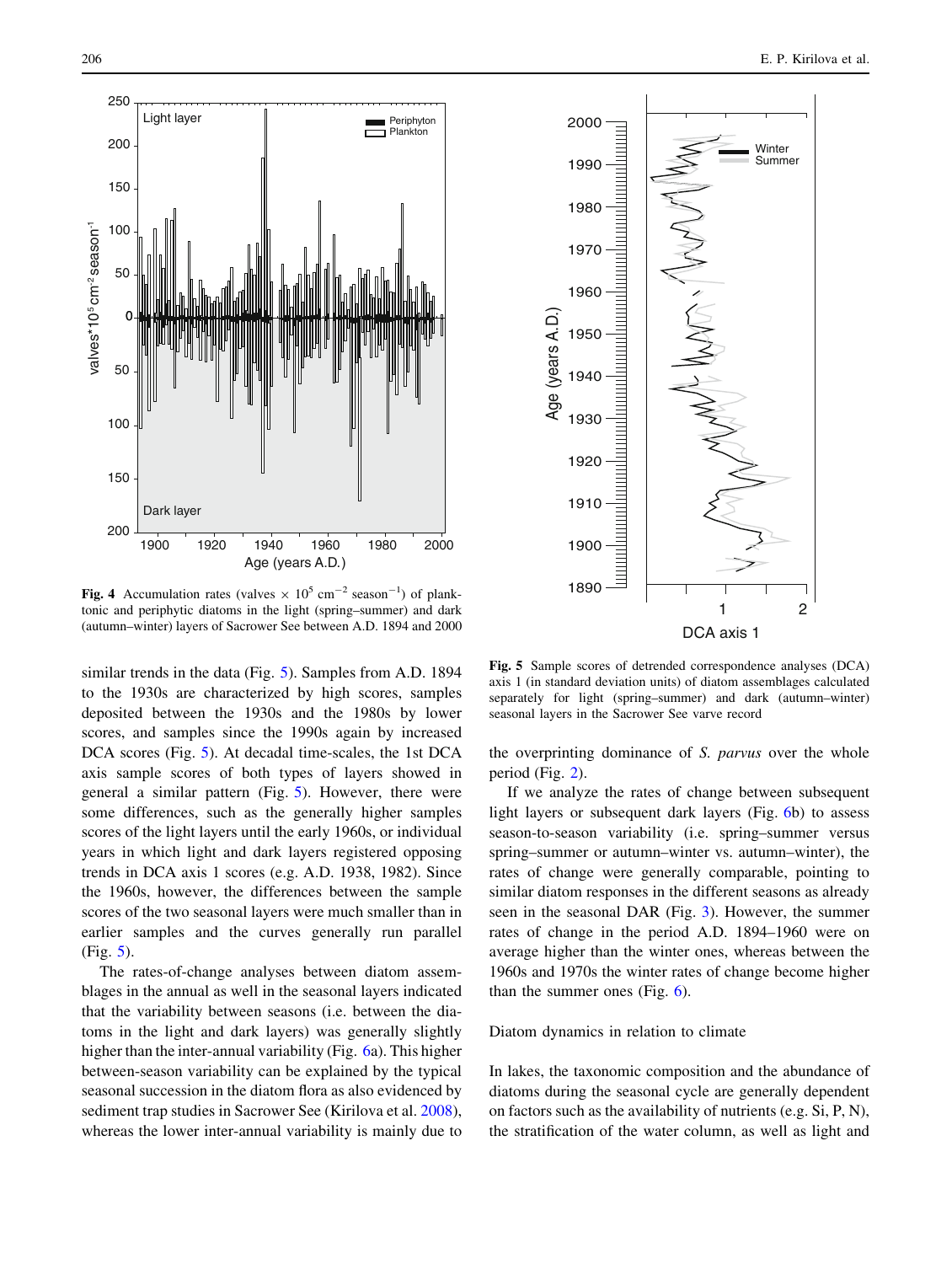<span id="page-5-0"></span>



Fig. 4 Accumulation rates (valves  $\times 10^5$  cm<sup>-2</sup> season<sup>-1</sup>) of planktonic and periphytic diatoms in the light (spring–summer) and dark (autumn–winter) layers of Sacrower See between A.D. 1894 and 2000

similar trends in the data (Fig. 5). Samples from A.D. 1894 to the 1930s are characterized by high scores, samples deposited between the 1930s and the 1980s by lower scores, and samples since the 1990s again by increased DCA scores (Fig. 5). At decadal time-scales, the 1st DCA axis sample scores of both types of layers showed in general a similar pattern (Fig. 5). However, there were some differences, such as the generally higher samples scores of the light layers until the early 1960s, or individual years in which light and dark layers registered opposing trends in DCA axis 1 scores (e.g. A.D. 1938, 1982). Since the 1960s, however, the differences between the sample scores of the two seasonal layers were much smaller than in earlier samples and the curves generally run parallel (Fig. 5).

The rates-of-change analyses between diatom assemblages in the annual as well in the seasonal layers indicated that the variability between seasons (i.e. between the diatoms in the light and dark layers) was generally slightly higher than the inter-annual variability (Fig. [6a](#page-6-0)). This higher between-season variability can be explained by the typical seasonal succession in the diatom flora as also evidenced by sediment trap studies in Sacrower See (Kirilova et al. [2008](#page-8-0)), whereas the lower inter-annual variability is mainly due to

Fig. 5 Sample scores of detrended correspondence analyses (DCA) axis 1 (in standard deviation units) of diatom assemblages calculated separately for light (spring–summer) and dark (autumn–winter) seasonal layers in the Sacrower See varve record

the overprinting dominance of S. parvus over the whole period (Fig. [2\)](#page-3-0).

If we analyze the rates of change between subsequent light layers or subsequent dark layers (Fig. [6](#page-6-0)b) to assess season-to-season variability (i.e. spring–summer versus spring–summer or autumn–winter vs. autumn–winter), the rates of change were generally comparable, pointing to similar diatom responses in the different seasons as already seen in the seasonal DAR (Fig. [3](#page-4-0)). However, the summer rates of change in the period A.D. 1894–1960 were on average higher than the winter ones, whereas between the 1960s and 1970s the winter rates of change become higher than the summer ones (Fig. [6\)](#page-6-0).

#### Diatom dynamics in relation to climate

In lakes, the taxonomic composition and the abundance of diatoms during the seasonal cycle are generally dependent on factors such as the availability of nutrients (e.g. Si, P, N), the stratification of the water column, as well as light and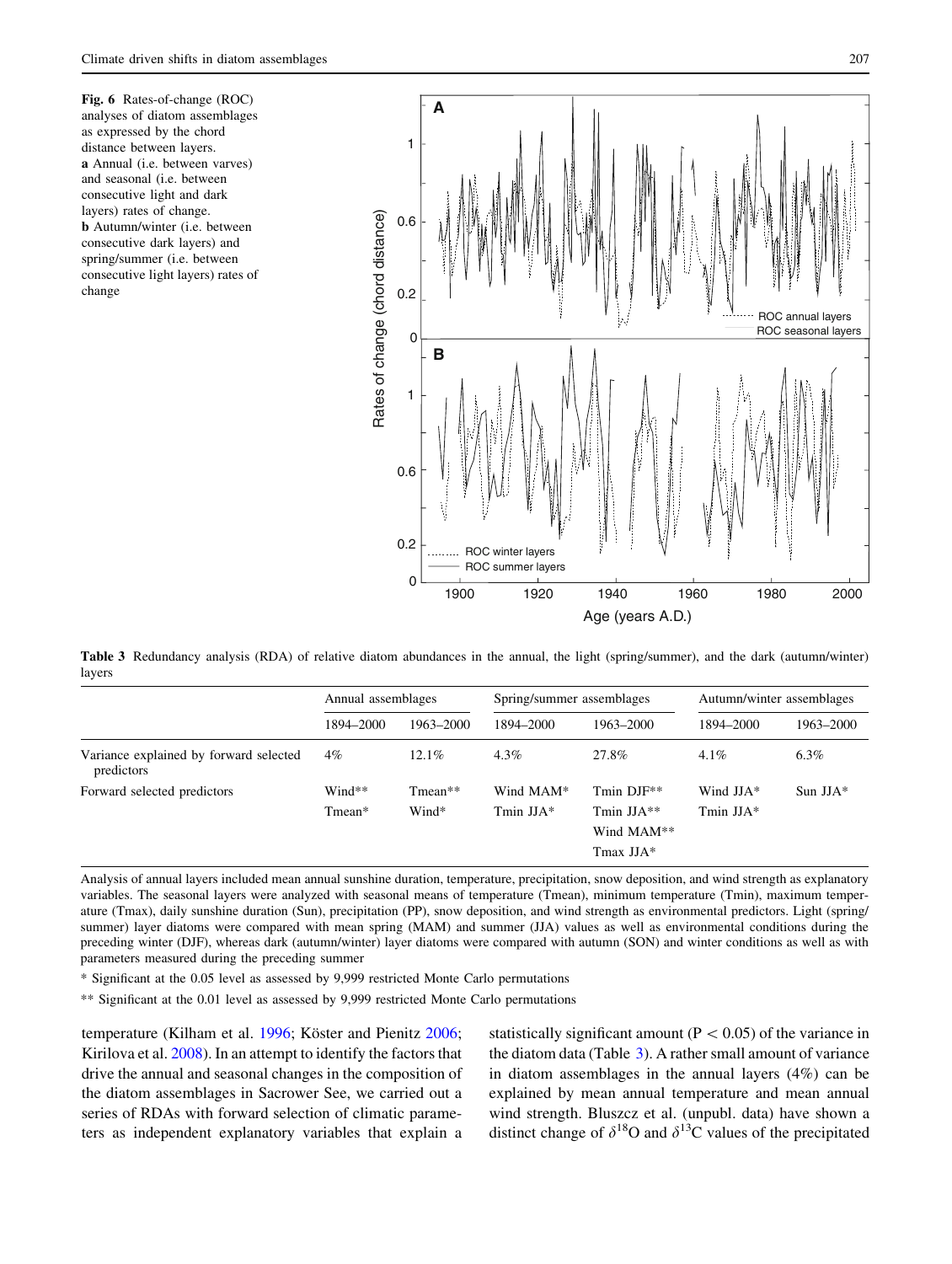<span id="page-6-0"></span>Fig. 6 Rates-of-change (ROC) analyses of diatom assemblages as expressed by the chord distance between layers. a Annual (i.e. between varves) and seasonal (i.e. between consecutive light and dark layers) rates of change. b Autumn/winter (i.e. between consecutive dark layers) and spring/summer (i.e. between consecutive light layers) rates of change



Table 3 Redundancy analysis (RDA) of relative diatom abundances in the annual, the light (spring/summer), and the dark (autumn/winter) layers

|                                                      | Annual assemblages |                    | Spring/summer assemblages |                                                             | Autumn/winter assemblages  |            |
|------------------------------------------------------|--------------------|--------------------|---------------------------|-------------------------------------------------------------|----------------------------|------------|
|                                                      | 1894–2000          | 1963–2000          | 1894-2000                 | 1963-2000                                                   | 1894-2000                  | 1963-2000  |
| Variance explained by forward selected<br>predictors | 4%                 | 12.1%              | $4.3\%$                   | 27.8%                                                       | $4.1\%$                    | $6.3\%$    |
| Forward selected predictors                          | Wind**<br>Tmean*   | $Tmean**$<br>Wind* | Wind MAM*<br>Tmin $JJA*$  | Tmin DJF**<br>Tmin $JJA**$<br>Wind MAM**<br>$T$ max JJA $*$ | Wind $JJA*$<br>Tmin $JJA*$ | Sun $JJA*$ |

Analysis of annual layers included mean annual sunshine duration, temperature, precipitation, snow deposition, and wind strength as explanatory variables. The seasonal layers were analyzed with seasonal means of temperature (Tmean), minimum temperature (Tmin), maximum temperature (Tmax), daily sunshine duration (Sun), precipitation (PP), snow deposition, and wind strength as environmental predictors. Light (spring/ summer) layer diatoms were compared with mean spring (MAM) and summer (JJA) values as well as environmental conditions during the preceding winter (DJF), whereas dark (autumn/winter) layer diatoms were compared with autumn (SON) and winter conditions as well as with parameters measured during the preceding summer

\* Significant at the 0.05 level as assessed by 9,999 restricted Monte Carlo permutations

\*\* Significant at the 0.01 level as assessed by 9,999 restricted Monte Carlo permutations

temperature (Kilham et al. [1996;](#page-8-0) Köster and Pienitz [2006](#page-8-0); Kirilova et al. [2008\)](#page-8-0). In an attempt to identify the factors that drive the annual and seasonal changes in the composition of the diatom assemblages in Sacrower See, we carried out a series of RDAs with forward selection of climatic parameters as independent explanatory variables that explain a statistically significant amount ( $P < 0.05$ ) of the variance in the diatom data (Table 3). A rather small amount of variance in diatom assemblages in the annual layers (4%) can be explained by mean annual temperature and mean annual wind strength. Bluszcz et al. (unpubl. data) have shown a distinct change of  $\delta^{18}O$  and  $\delta^{13}C$  values of the precipitated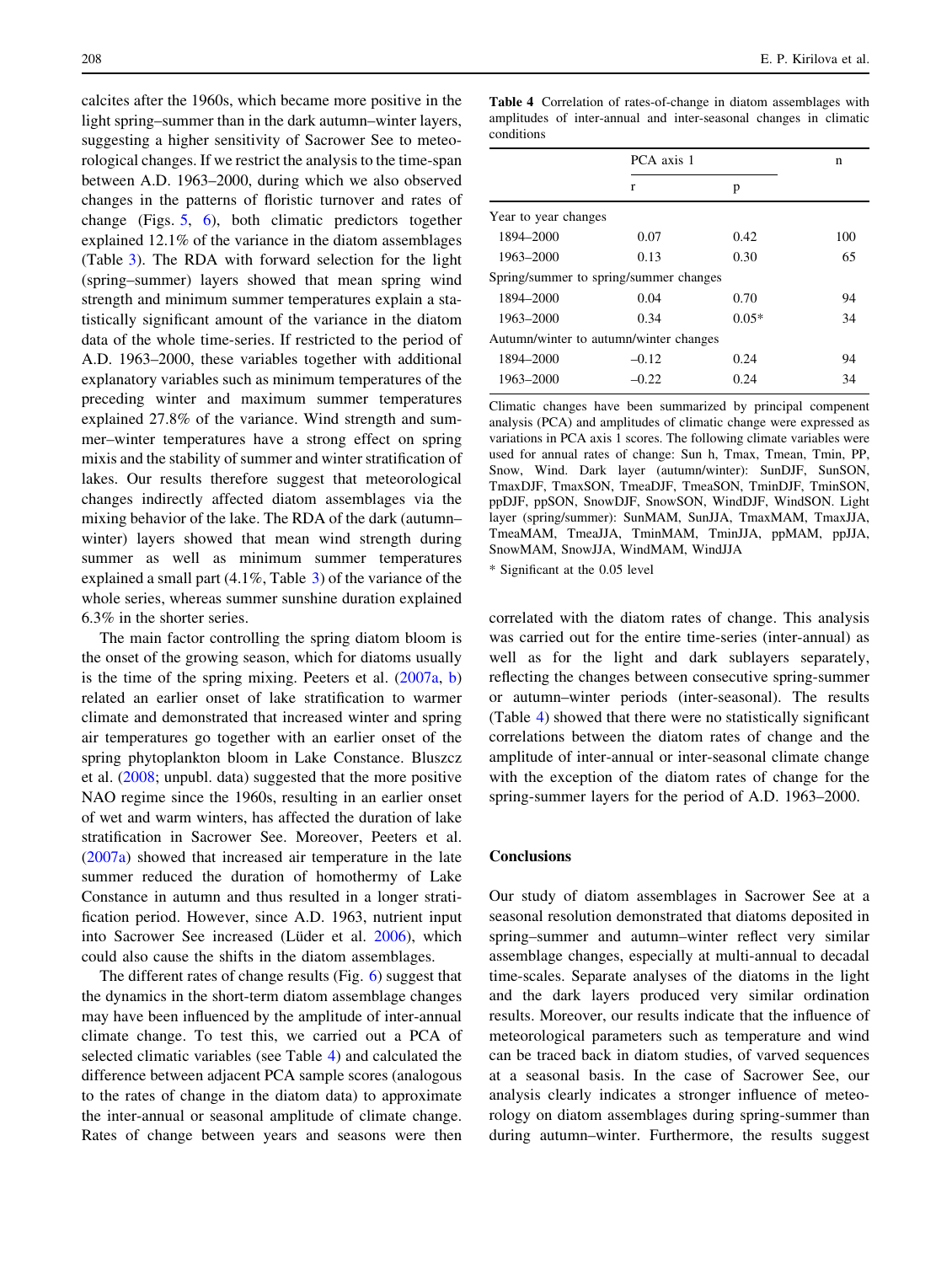calcites after the 1960s, which became more positive in the light spring–summer than in the dark autumn–winter layers, suggesting a higher sensitivity of Sacrower See to meteorological changes. If we restrict the analysis to the time-span between A.D. 1963–2000, during which we also observed changes in the patterns of floristic turnover and rates of change (Figs. [5,](#page-5-0) [6](#page-6-0)), both climatic predictors together explained 12.1% of the variance in the diatom assemblages (Table [3](#page-6-0)). The RDA with forward selection for the light (spring–summer) layers showed that mean spring wind strength and minimum summer temperatures explain a statistically significant amount of the variance in the diatom data of the whole time-series. If restricted to the period of A.D. 1963–2000, these variables together with additional explanatory variables such as minimum temperatures of the preceding winter and maximum summer temperatures explained 27.8% of the variance. Wind strength and summer–winter temperatures have a strong effect on spring mixis and the stability of summer and winter stratification of lakes. Our results therefore suggest that meteorological changes indirectly affected diatom assemblages via the mixing behavior of the lake. The RDA of the dark (autumn– winter) layers showed that mean wind strength during summer as well as minimum summer temperatures explained a small part (4.1%, Table [3](#page-6-0)) of the variance of the whole series, whereas summer sunshine duration explained 6.3% in the shorter series.

The main factor controlling the spring diatom bloom is the onset of the growing season, which for diatoms usually is the time of the spring mixing. Peeters et al. [\(2007a,](#page-9-0) [b\)](#page-9-0) related an earlier onset of lake stratification to warmer climate and demonstrated that increased winter and spring air temperatures go together with an earlier onset of the spring phytoplankton bloom in Lake Constance. Bluszcz et al. [\(2008](#page-8-0); unpubl. data) suggested that the more positive NAO regime since the 1960s, resulting in an earlier onset of wet and warm winters, has affected the duration of lake stratification in Sacrower See. Moreover, Peeters et al. [\(2007a\)](#page-9-0) showed that increased air temperature in the late summer reduced the duration of homothermy of Lake Constance in autumn and thus resulted in a longer stratification period. However, since A.D. 1963, nutrient input into Sacrower See increased (Lüder et al. [2006](#page-9-0)), which could also cause the shifts in the diatom assemblages.

The different rates of change results (Fig. [6](#page-6-0)) suggest that the dynamics in the short-term diatom assemblage changes may have been influenced by the amplitude of inter-annual climate change. To test this, we carried out a PCA of selected climatic variables (see Table 4) and calculated the difference between adjacent PCA sample scores (analogous to the rates of change in the diatom data) to approximate the inter-annual or seasonal amplitude of climate change. Rates of change between years and seasons were then Table 4 Correlation of rates-of-change in diatom assemblages with amplitudes of inter-annual and inter-seasonal changes in climatic conditions

|                                        | PCA axis 1 |         | n   |  |
|----------------------------------------|------------|---------|-----|--|
|                                        | r          | p       |     |  |
| Year to year changes                   |            |         |     |  |
| 1894-2000                              | 0.07       | 0.42    | 100 |  |
| 1963-2000                              | 0.13       | 0.30    | 65  |  |
| Spring/summer to spring/summer changes |            |         |     |  |
| 1894-2000                              | 0.04       | 0.70    | 94  |  |
| 1963-2000                              | 0.34       | $0.05*$ | 34  |  |
| Autumn/winter to autumn/winter changes |            |         |     |  |
| 1894-2000                              | $-0.12$    | 0.24    | 94  |  |
| 1963-2000                              | $-0.22$    | 0.24    | 34  |  |

Climatic changes have been summarized by principal compenent analysis (PCA) and amplitudes of climatic change were expressed as variations in PCA axis 1 scores. The following climate variables were used for annual rates of change: Sun h, Tmax, Tmean, Tmin, PP, Snow, Wind. Dark layer (autumn/winter): SunDJF, SunSON, TmaxDJF, TmaxSON, TmeaDJF, TmeaSON, TminDJF, TminSON, ppDJF, ppSON, SnowDJF, SnowSON, WindDJF, WindSON. Light layer (spring/summer): SunMAM, SunJJA, TmaxMAM, TmaxJJA, TmeaMAM, TmeaJJA, TminMAM, TminJJA, ppMAM, ppJJA, SnowMAM, SnowJJA, WindMAM, WindJJA

\* Significant at the 0.05 level

correlated with the diatom rates of change. This analysis was carried out for the entire time-series (inter-annual) as well as for the light and dark sublayers separately, reflecting the changes between consecutive spring-summer or autumn–winter periods (inter-seasonal). The results (Table 4) showed that there were no statistically significant correlations between the diatom rates of change and the amplitude of inter-annual or inter-seasonal climate change with the exception of the diatom rates of change for the spring-summer layers for the period of A.D. 1963–2000.

## **Conclusions**

Our study of diatom assemblages in Sacrower See at a seasonal resolution demonstrated that diatoms deposited in spring–summer and autumn–winter reflect very similar assemblage changes, especially at multi-annual to decadal time-scales. Separate analyses of the diatoms in the light and the dark layers produced very similar ordination results. Moreover, our results indicate that the influence of meteorological parameters such as temperature and wind can be traced back in diatom studies, of varved sequences at a seasonal basis. In the case of Sacrower See, our analysis clearly indicates a stronger influence of meteorology on diatom assemblages during spring-summer than during autumn–winter. Furthermore, the results suggest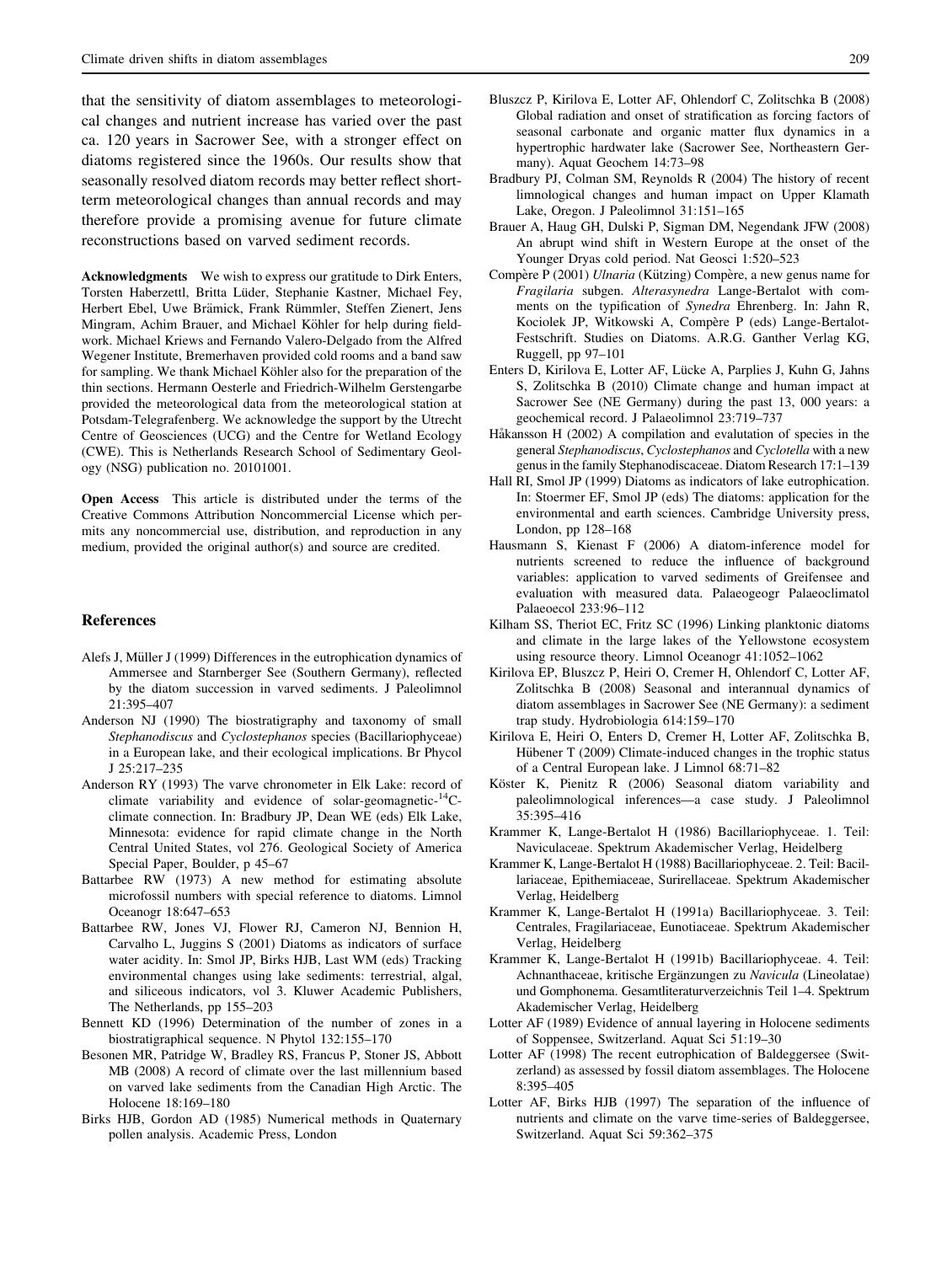<span id="page-8-0"></span>that the sensitivity of diatom assemblages to meteorological changes and nutrient increase has varied over the past ca. 120 years in Sacrower See, with a stronger effect on diatoms registered since the 1960s. Our results show that seasonally resolved diatom records may better reflect shortterm meteorological changes than annual records and may therefore provide a promising avenue for future climate reconstructions based on varved sediment records.

Acknowledgments We wish to express our gratitude to Dirk Enters, Torsten Haberzettl, Britta Lüder, Stephanie Kastner, Michael Fey, Herbert Ebel, Uwe Brämick, Frank Rümmler, Steffen Zienert, Jens Mingram, Achim Brauer, and Michael Köhler for help during fieldwork. Michael Kriews and Fernando Valero-Delgado from the Alfred Wegener Institute, Bremerhaven provided cold rooms and a band saw for sampling. We thank Michael Köhler also for the preparation of the thin sections. Hermann Oesterle and Friedrich-Wilhelm Gerstengarbe provided the meteorological data from the meteorological station at Potsdam-Telegrafenberg. We acknowledge the support by the Utrecht Centre of Geosciences (UCG) and the Centre for Wetland Ecology (CWE). This is Netherlands Research School of Sedimentary Geology (NSG) publication no. 20101001.

Open Access This article is distributed under the terms of the Creative Commons Attribution Noncommercial License which permits any noncommercial use, distribution, and reproduction in any medium, provided the original author(s) and source are credited.

#### References

- Alefs J, Müller J (1999) Differences in the eutrophication dynamics of Ammersee and Starnberger See (Southern Germany), reflected by the diatom succession in varved sediments. J Paleolimnol 21:395–407
- Anderson NJ (1990) The biostratigraphy and taxonomy of small Stephanodiscus and Cyclostephanos species (Bacillariophyceae) in a European lake, and their ecological implications. Br Phycol J 25:217–235
- Anderson RY (1993) The varve chronometer in Elk Lake: record of climate variability and evidence of solar-geomagnetic- $^{14}$ Cclimate connection. In: Bradbury JP, Dean WE (eds) Elk Lake, Minnesota: evidence for rapid climate change in the North Central United States, vol 276. Geological Society of America Special Paper, Boulder, p 45–67
- Battarbee RW (1973) A new method for estimating absolute microfossil numbers with special reference to diatoms. Limnol Oceanogr 18:647–653
- Battarbee RW, Jones VJ, Flower RJ, Cameron NJ, Bennion H, Carvalho L, Juggins S (2001) Diatoms as indicators of surface water acidity. In: Smol JP, Birks HJB, Last WM (eds) Tracking environmental changes using lake sediments: terrestrial, algal, and siliceous indicators, vol 3. Kluwer Academic Publishers, The Netherlands, pp 155–203
- Bennett KD (1996) Determination of the number of zones in a biostratigraphical sequence. N Phytol 132:155–170
- Besonen MR, Patridge W, Bradley RS, Francus P, Stoner JS, Abbott MB (2008) A record of climate over the last millennium based on varved lake sediments from the Canadian High Arctic. The Holocene 18:169–180
- Birks HJB, Gordon AD (1985) Numerical methods in Quaternary pollen analysis. Academic Press, London
- Bluszcz P, Kirilova E, Lotter AF, Ohlendorf C, Zolitschka B (2008) Global radiation and onset of stratification as forcing factors of seasonal carbonate and organic matter flux dynamics in a hypertrophic hardwater lake (Sacrower See, Northeastern Germany). Aquat Geochem 14:73–98
- Bradbury PJ, Colman SM, Reynolds R (2004) The history of recent limnological changes and human impact on Upper Klamath Lake, Oregon. J Paleolimnol 31:151–165
- Brauer A, Haug GH, Dulski P, Sigman DM, Negendank JFW (2008) An abrupt wind shift in Western Europe at the onset of the Younger Dryas cold period. Nat Geosci 1:520–523
- Compère P (2001) *Ulnaria* (Kützing) Compère, a new genus name for Fragilaria subgen. Alterasynedra Lange-Bertalot with comments on the typification of Synedra Ehrenberg. In: Jahn R, Kociolek JP, Witkowski A, Compère P (eds) Lange-Bertalot-Festschrift. Studies on Diatoms. A.R.G. Ganther Verlag KG, Ruggell, pp 97–101
- Enters D, Kirilova E, Lotter AF, Lücke A, Parplies J, Kuhn G, Jahns S, Zolitschka B (2010) Climate change and human impact at Sacrower See (NE Germany) during the past 13, 000 years: a geochemical record. J Palaeolimnol 23:719–737
- Håkansson H (2002) A compilation and evalutation of species in the general Stephanodiscus, Cyclostephanos and Cyclotella with a new genus in the family Stephanodiscaceae. Diatom Research 17:1–139
- Hall RI, Smol JP (1999) Diatoms as indicators of lake eutrophication. In: Stoermer EF, Smol JP (eds) The diatoms: application for the environmental and earth sciences. Cambridge University press, London, pp 128–168
- Hausmann S, Kienast F (2006) A diatom-inference model for nutrients screened to reduce the influence of background variables: application to varved sediments of Greifensee and evaluation with measured data. Palaeogeogr Palaeoclimatol Palaeoecol 233:96–112
- Kilham SS, Theriot EC, Fritz SC (1996) Linking planktonic diatoms and climate in the large lakes of the Yellowstone ecosystem using resource theory. Limnol Oceanogr 41:1052–1062
- Kirilova EP, Bluszcz P, Heiri O, Cremer H, Ohlendorf C, Lotter AF, Zolitschka B (2008) Seasonal and interannual dynamics of diatom assemblages in Sacrower See (NE Germany): a sediment trap study. Hydrobiologia 614:159–170
- Kirilova E, Heiri O, Enters D, Cremer H, Lotter AF, Zolitschka B, Hübener T (2009) Climate-induced changes in the trophic status of a Central European lake. J Limnol 68:71–82
- Köster K, Pienitz R (2006) Seasonal diatom variability and paleolimnological inferences—a case study. J Paleolimnol 35:395–416
- Krammer K, Lange-Bertalot H (1986) Bacillariophyceae. 1. Teil: Naviculaceae. Spektrum Akademischer Verlag, Heidelberg
- Krammer K, Lange-Bertalot H (1988) Bacillariophyceae. 2. Teil: Bacillariaceae, Epithemiaceae, Surirellaceae. Spektrum Akademischer Verlag, Heidelberg
- Krammer K, Lange-Bertalot H (1991a) Bacillariophyceae. 3. Teil: Centrales, Fragilariaceae, Eunotiaceae. Spektrum Akademischer Verlag, Heidelberg
- Krammer K, Lange-Bertalot H (1991b) Bacillariophyceae. 4. Teil: Achnanthaceae, kritische Ergänzungen zu Navicula (Lineolatae) und Gomphonema. Gesamtliteraturverzeichnis Teil 1–4. Spektrum Akademischer Verlag, Heidelberg
- Lotter AF (1989) Evidence of annual layering in Holocene sediments of Soppensee, Switzerland. Aquat Sci 51:19–30
- Lotter AF (1998) The recent eutrophication of Baldeggersee (Switzerland) as assessed by fossil diatom assemblages. The Holocene 8:395–405
- Lotter AF, Birks HJB (1997) The separation of the influence of nutrients and climate on the varve time-series of Baldeggersee, Switzerland. Aquat Sci 59:362–375